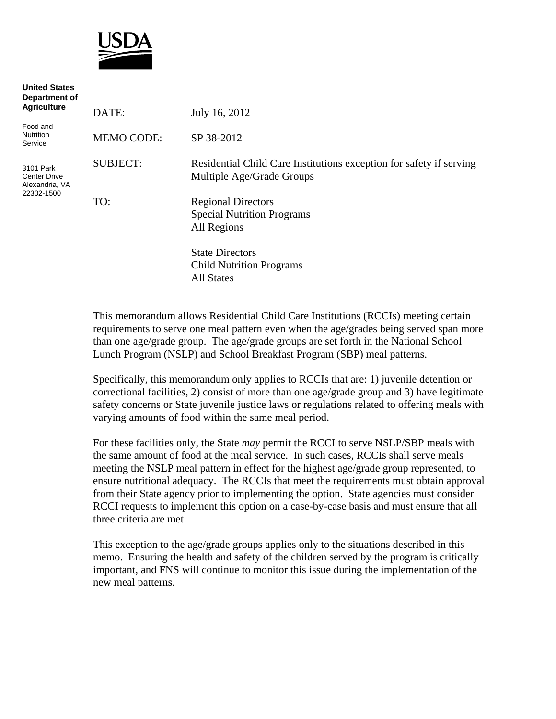

**United States** 

| united States<br>Department of<br><b>Agriculture</b>      |                   |                                                                                                  |
|-----------------------------------------------------------|-------------------|--------------------------------------------------------------------------------------------------|
|                                                           | DATE:             | July 16, 2012                                                                                    |
| Food and<br>Nutrition<br>Service                          | <b>MEMO CODE:</b> | SP 38-2012                                                                                       |
| 3101 Park<br>Center Drive<br>Alexandria, VA<br>22302-1500 | <b>SUBJECT:</b>   | Residential Child Care Institutions exception for safety if serving<br>Multiple Age/Grade Groups |
|                                                           | TO:               | <b>Regional Directors</b><br><b>Special Nutrition Programs</b><br>All Regions                    |
|                                                           |                   | <b>State Directors</b><br><b>Child Nutrition Programs</b><br><b>All States</b>                   |

This memorandum allows Residential Child Care Institutions (RCCIs) meeting certain requirements to serve one meal pattern even when the age/grades being served span more than one age/grade group. The age/grade groups are set forth in the National School Lunch Program (NSLP) and School Breakfast Program (SBP) meal patterns.

Specifically, this memorandum only applies to RCCIs that are: 1) juvenile detention or correctional facilities, 2) consist of more than one age/grade group and 3) have legitimate safety concerns or State juvenile justice laws or regulations related to offering meals with varying amounts of food within the same meal period.

For these facilities only, the State *may* permit the RCCI to serve NSLP/SBP meals with the same amount of food at the meal service. In such cases, RCCIs shall serve meals meeting the NSLP meal pattern in effect for the highest age/grade group represented, to ensure nutritional adequacy. The RCCIs that meet the requirements must obtain approval from their State agency prior to implementing the option. State agencies must consider RCCI requests to implement this option on a case-by-case basis and must ensure that all three criteria are met.

This exception to the age/grade groups applies only to the situations described in this memo. Ensuring the health and safety of the children served by the program is critically important, and FNS will continue to monitor this issue during the implementation of the new meal patterns.